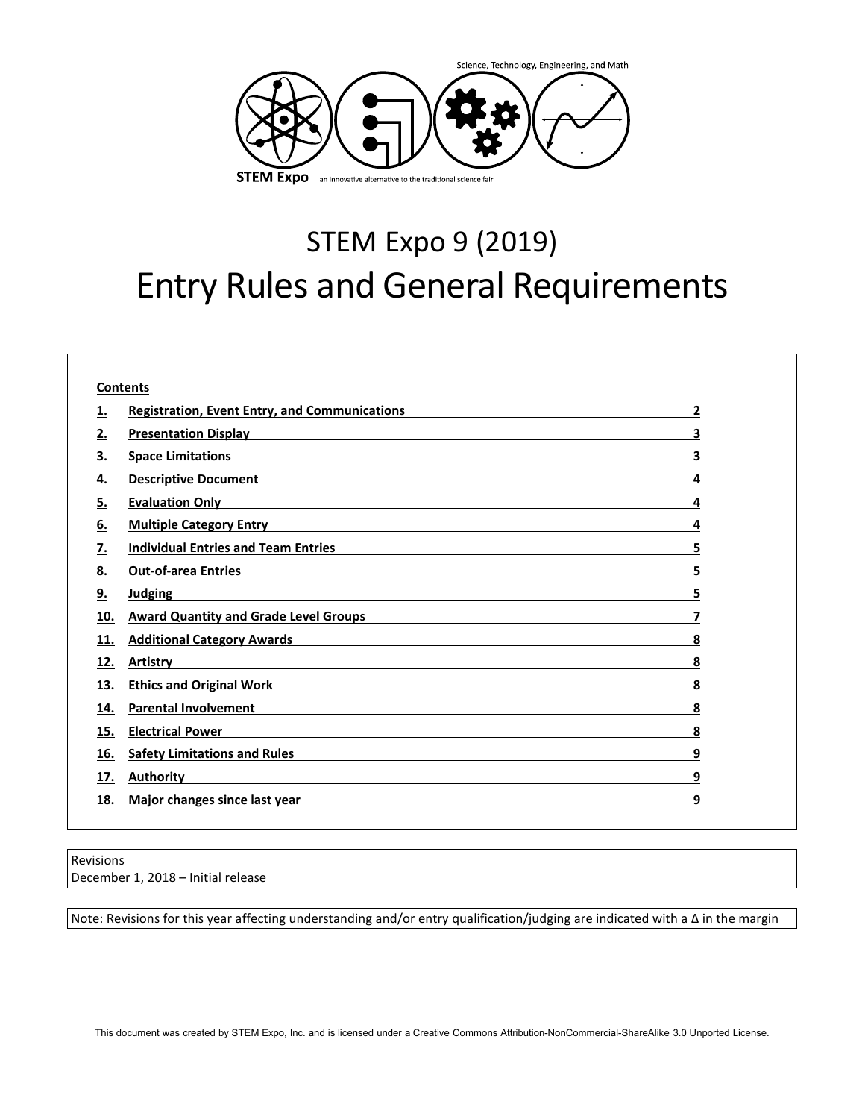

# STEM Expo 9 (2019) Entry Rules and General Requirements

| <b>Registration, Event Entry, and Communications</b>                                                                                                                                                                                       | 2 |
|--------------------------------------------------------------------------------------------------------------------------------------------------------------------------------------------------------------------------------------------|---|
| Presentation Display <b>Exercise Contract Contract Contract Contract Contract Contract Contract Contract Contract Contract Contract Contract Contract Contract Contract Contract Contract Contract Contract Contract Contract Co</b>       | 3 |
| <b>Space Limitations</b>                                                                                                                                                                                                                   | 3 |
| <b>Descriptive Document</b>                                                                                                                                                                                                                | 4 |
| <b>Evaluation Only</b>                                                                                                                                                                                                                     | 4 |
| <b>Multiple Category Entry</b><br>6.<br><u> 1980 - Johann Barn, fransk politik (f. 1980)</u>                                                                                                                                               | 4 |
| <u>Individual Entries and Team Entries and Service and Service and Service and Service and Service and Service and Service and Service and Service and Service and Service and Service and Service and Service and Service and S</u><br>7. | 5 |
| <b>Out-of-area Entries</b><br>8.<br><u> 1999 - Johann Stoff, deutscher Stoff, der Stoff, der Stoff, der Stoff, der Stoff, der Stoff, der Stoff, der S</u>                                                                                  | 5 |
| 9.<br><b>Judging</b>                                                                                                                                                                                                                       | 5 |
| <b>Award Quantity and Grade Level Groups</b><br>10.                                                                                                                                                                                        | 7 |
| <b>Additional Category Awards</b><br>11.<br><u> 1989 - Johann Stoff, deutscher Stoffen und der Stoffen und der Stoffen und der Stoffen und der Stoffen und d</u>                                                                           | 8 |
| 12.<br>Artistry<br><u> 1989 - Johann Stein, Amerikaansk politiker († 1908)</u>                                                                                                                                                             | 8 |
| <b>Ethics and Original Work</b><br>13.<br><u> 1980 - Jan Samuel Barbara, martin di sebagai personal di sebagai personal di sebagai personal di sebagai per</u>                                                                             | 8 |
| <b>Parental Involvement</b><br><u> 1989 - Johann Barn, mars ann an t-Amhain ann an t-Amhain an t-Amhain an t-Amhain an t-Amhain an t-Amhain an t-</u><br>14.                                                                               | 8 |
| <b>Electrical Power</b><br>15.                                                                                                                                                                                                             | 8 |
| <b>Safety Limitations and Rules</b><br>16.<br><u> 1989 - Johann Stoff, amerikansk politiker (d. 1989)</u>                                                                                                                                  | 9 |
| <b>Authority</b><br>17.                                                                                                                                                                                                                    | 9 |
| Major changes since last year<br>18.                                                                                                                                                                                                       | 9 |

Revisions December 1, 2018 – Initial release

Note: Revisions for this year affecting understanding and/or entry qualification/judging are indicated with a ∆ in the margin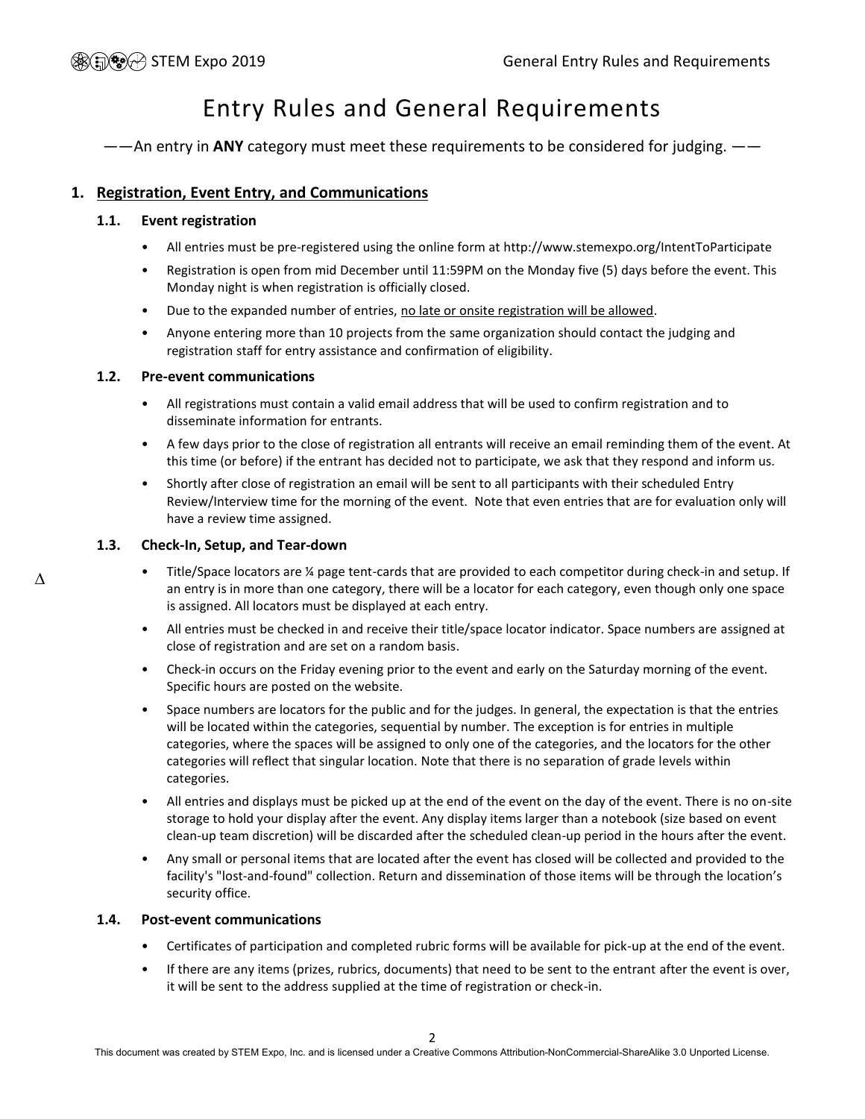# Entry Rules and General Requirements

——An entry in **ANY** category must meet these requirements to be considered for judging. ——

### <span id="page-1-0"></span>**1. Registration, Event Entry, and Communications**

#### **1.1. Event registration**

- All entries must be pre-registered using the online form at http://www.stemexpo.org/IntentToParticipate
- Registration is open from mid December until 11:59PM on the Monday five (5) days before the event. This Monday night is when registration is officially closed.
- Due to the expanded number of entries, no late or onsite registration will be allowed.
- Anyone entering more than 10 projects from the same organization should contact the judging and registration staff for entry assistance and confirmation of eligibility.

#### **1.2. Pre-event communications**

- All registrations must contain a valid email address that will be used to confirm registration and to disseminate information for entrants.
- A few days prior to the close of registration all entrants will receive an email reminding them of the event. At this time (or before) if the entrant has decided not to participate, we ask that they respond and inform us.
- Shortly after close of registration an email will be sent to all participants with their scheduled Entry Review/Interview time for the morning of the event. Note that even entries that are for evaluation only will have a review time assigned.

#### **1.3. Check-In, Setup, and Tear-down**

- <span id="page-1-1"></span>• Title/Space locators are ¼ page tent-cards that are provided to each competitor during check-in and setup. If an entry is in more than one category, there will be a locator for each category, even though only one space is assigned. All locators must be displayed at each entry.
- All entries must be checked in and receive their title/space locator indicator. Space numbers are assigned at close of registration and are set on a random basis.
- Check-in occurs on the Friday evening prior to the event and early on the Saturday morning of the event. Specific hours are posted on the website.
- Space numbers are locators for the public and for the judges. In general, the expectation is that the entries will be located within the categories, sequential by number. The exception is for entries in multiple categories, where the spaces will be assigned to only one of the categories, and the locators for the other categories will reflect that singular location. Note that there is no separation of grade levels within categories.
- All entries and displays must be picked up at the end of the event on the day of the event. There is no on-site storage to hold your display after the event. Any display items larger than a notebook (size based on event clean-up team discretion) will be discarded after the scheduled clean-up period in the hours after the event.
- Any small or personal items that are located after the event has closed will be collected and provided to the facility's "lost-and-found" collection. Return and dissemination of those items will be through the location's security office.

#### **1.4. Post-event communications**

- Certificates of participation and completed rubric forms will be available for pick-up at the end of the event.
- If there are any items (prizes, rubrics, documents) that need to be sent to the entrant after the event is over, it will be sent to the address supplied at the time of registration or check-in.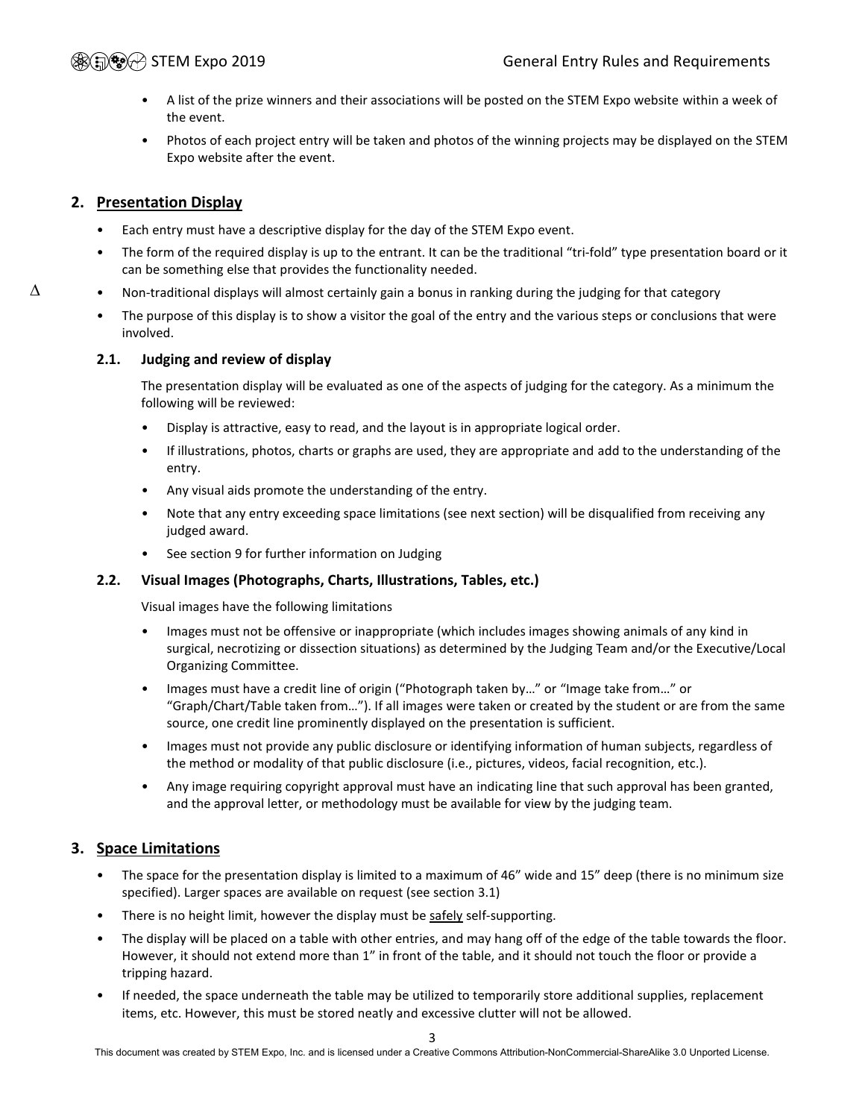- A list of the prize winners and their associations will be posted on the STEM Expo website within a week of the event.
- Photos of each project entry will be taken and photos of the winning projects may be displayed on the STEM Expo website after the event.

#### <span id="page-2-0"></span>**2. Presentation Display**

∆

- Each entry must have a descriptive display for the day of the STEM Expo event.
- The form of the required display is up to the entrant. It can be the traditional "tri-fold" type presentation board or it can be something else that provides the functionality needed.
- Non-traditional displays will almost certainly gain a bonus in ranking during the judging for that category
	- The purpose of this display is to show a visitor the goal of the entry and the various steps or conclusions that were involved.

#### **2.1. Judging and review of display**

The presentation display will be evaluated as one of the aspects of judging for the category. As a minimum the following will be reviewed:

- Display is attractive, easy to read, and the layout is in appropriate logical order.
- If illustrations, photos, charts or graphs are used, they are appropriate and add to the understanding of the entry.
- Any visual aids promote the understanding of the entry.
- Note that any entry exceeding space limitations (see next section) will be disqualified from receiving any judged award.
- See section [9](#page-4-2) for further information on Judging

#### **2.2. Visual Images (Photographs, Charts, Illustrations, Tables, etc.)**

Visual images have the following limitations

- Images must not be offensive or inappropriate (which includes images showing animals of any kind in surgical, necrotizing or dissection situations) as determined by the Judging Team and/or the Executive/Local Organizing Committee.
- Images must have a credit line of origin ("Photograph taken by…" or "Image take from…" or "Graph/Chart/Table taken from…"). If all images were taken or created by the student or are from the same source, one credit line prominently displayed on the presentation is sufficient.
- Images must not provide any public disclosure or identifying information of human subjects, regardless of the method or modality of that public disclosure (i.e., pictures, videos, facial recognition, etc.).
- Any image requiring copyright approval must have an indicating line that such approval has been granted, and the approval letter, or methodology must be available for view by the judging team.

### <span id="page-2-1"></span>**3. Space Limitations**

- The space for the presentation display is limited to a maximum of 46" wide and 15" deep (there is no minimum size specified). Larger spaces are available on request (see section [3.1\)](#page-3-3)
- There is no height limit, however the display must be safely self-supporting.
- The display will be placed on a table with other entries, and may hang off of the edge of the table towards the floor. However, it should not extend more than 1" in front of the table, and it should not touch the floor or provide a tripping hazard.
- If needed, the space underneath the table may be utilized to temporarily store additional supplies, replacement items, etc. However, this must be stored neatly and excessive clutter will not be allowed.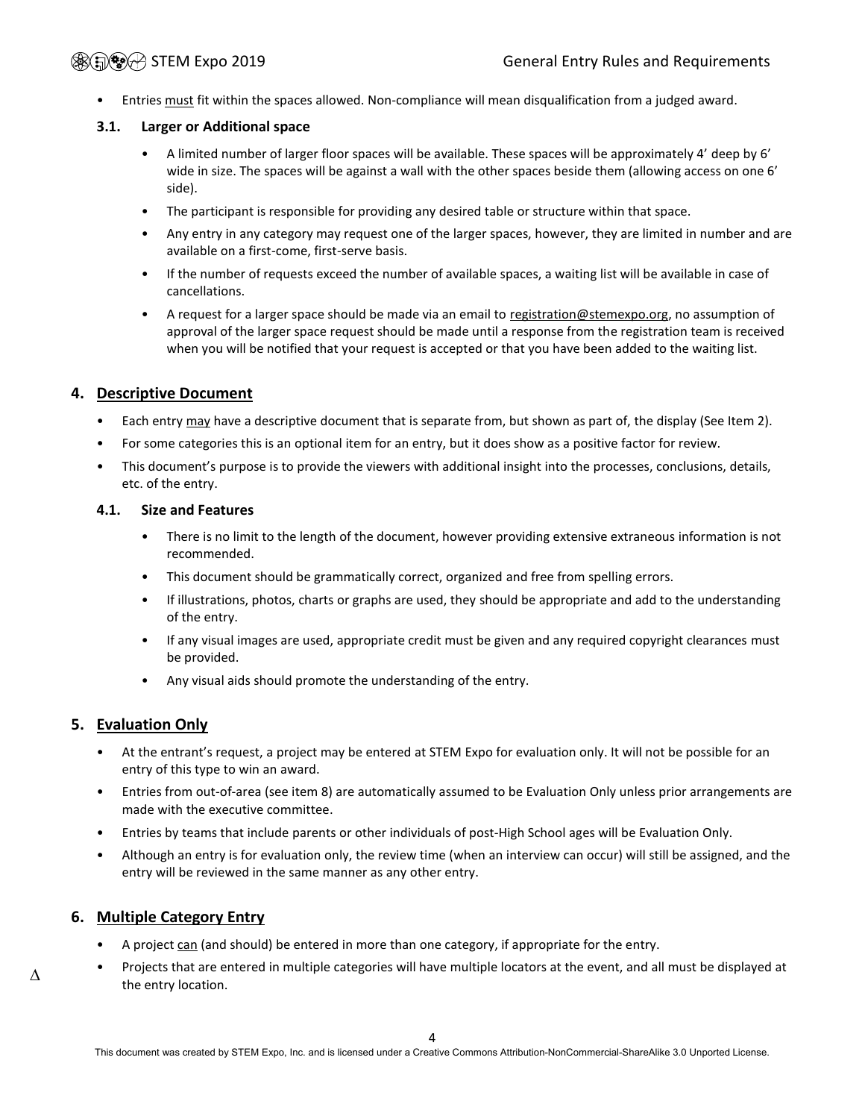Entries must fit within the spaces allowed. Non-compliance will mean disqualification from a judged award.

#### <span id="page-3-3"></span>**3.1. Larger or Additional space**

- A limited number of larger floor spaces will be available. These spaces will be approximately 4' deep by 6' wide in size. The spaces will be against a wall with the other spaces beside them (allowing access on one 6' side).
- The participant is responsible for providing any desired table or structure within that space.
- Any entry in any category may request one of the larger spaces, however, they are limited in number and are available on a first-come, first-serve basis.
- If the number of requests exceed the number of available spaces, a waiting list will be available in case of cancellations.
- A request for a larger space should be made via an email to [registration@stemexpo.org,](mailto:registration@stemexpo.org) no assumption of approval of the larger space request should be made until a response from the registration team is received when you will be notified that your request is accepted or that you have been added to the waiting list.

#### <span id="page-3-0"></span>**4. Descriptive Document**

- Each entry may have a descriptive document that is separate from, but shown as part of, the display (See Item [2\)](#page-2-0).
- For some categories this is an optional item for an entry, but it does show as a positive factor for review.
- This document's purpose is to provide the viewers with additional insight into the processes, conclusions, details, etc. of the entry.

#### **4.1. Size and Features**

- There is no limit to the length of the document, however providing extensive extraneous information is not recommended.
- This document should be grammatically correct, organized and free from spelling errors.
- If illustrations, photos, charts or graphs are used, they should be appropriate and add to the understanding of the entry.
- If any visual images are used, appropriate credit must be given and any required copyright clearances must be provided.
- Any visual aids should promote the understanding of the entry.

#### <span id="page-3-1"></span>**5. Evaluation Only**

- At the entrant's request, a project may be entered at STEM Expo for evaluation only. It will not be possible for an entry of this type to win an award.
- Entries from out-of-area (see item 8) are automatically assumed to be Evaluation Only unless prior arrangements are made with the executive committee.
- Entries by teams that include parents or other individuals of post-High School ages will be Evaluation Only.
- Although an entry is for evaluation only, the review time (when an interview can occur) will still be assigned, and the entry will be reviewed in the same manner as any other entry.

### <span id="page-3-2"></span>**6. Multiple Category Entry**

- A project can (and should) be entered in more than one category, if appropriate for the entry.
- Projects that are entered in multiple categories will have multiple locators at the event, and all must be displayed at  $\Delta$  the entry location.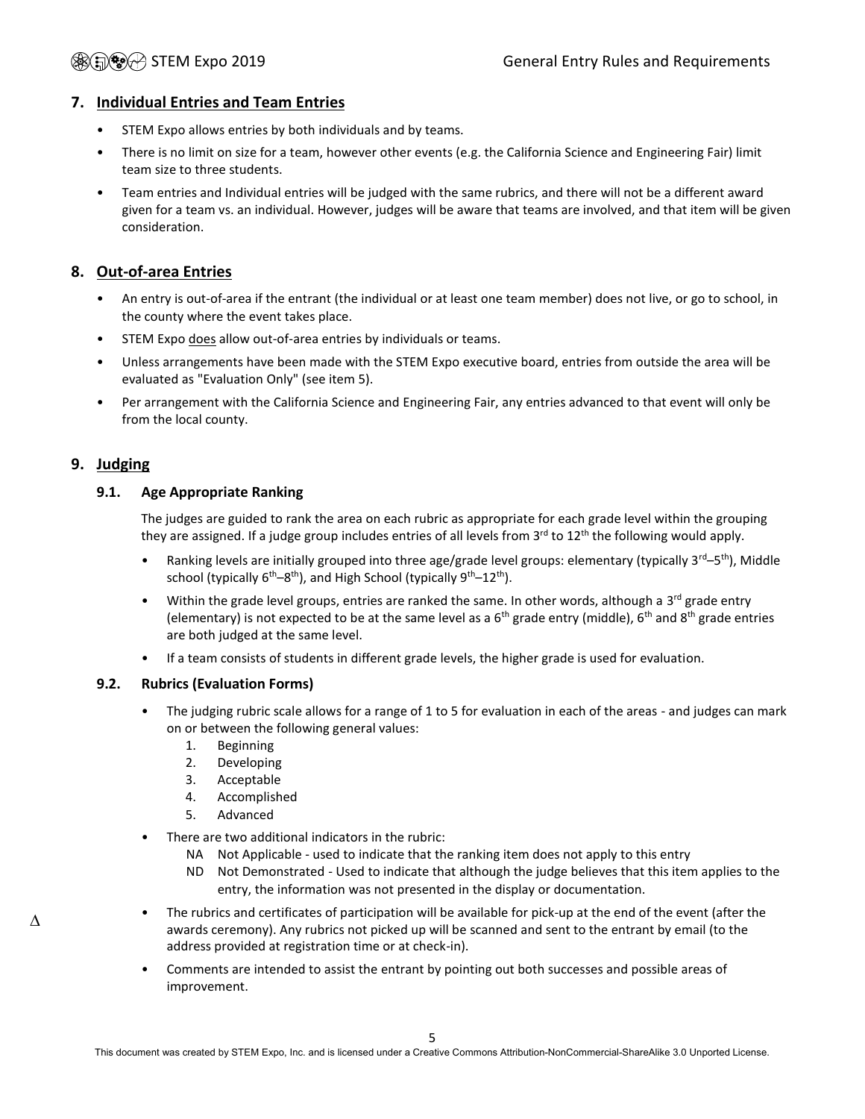### <span id="page-4-0"></span>**7. Individual Entries and Team Entries**

- STEM Expo allows entries by both individuals and by teams.
- There is no limit on size for a team, however other events (e.g. the California Science and Engineering Fair) limit team size to three students.
- Team entries and Individual entries will be judged with the same rubrics, and there will not be a different award given for a team vs. an individual. However, judges will be aware that teams are involved, and that item will be given consideration.

### <span id="page-4-1"></span>**8. Out-of-area Entries**

- An entry is out-of-area if the entrant (the individual or at least one team member) does not live, or go to school, in the county where the event takes place.
- STEM Expo does allow out-of-area entries by individuals or teams.
- Unless arrangements have been made with the STEM Expo executive board, entries from outside the area will be evaluated as "Evaluation Only" (see item 5).
- Per arrangement with the California Science and Engineering Fair, any entries advanced to that event will only be from the local county.

#### <span id="page-4-2"></span>**9. Judging**

#### <span id="page-4-3"></span>**9.1. Age Appropriate Ranking**

The judges are guided to rank the area on each rubric as appropriate for each grade level within the grouping they are assigned. If a judge group includes entries of all levels from 3<sup>rd</sup> to 12<sup>th</sup> the following would apply.

- Ranking levels are initially grouped into three age/grade level groups: elementary (typically 3<sup>rd</sup>–5<sup>th</sup>), Middle school (typically 6<sup>th</sup>–8<sup>th</sup>), and High School (typically 9<sup>th</sup>–12<sup>th</sup>).
- Within the grade level groups, entries are ranked the same. In other words, although a  $3^{rd}$  grade entry (elementary) is not expected to be at the same level as a  $6<sup>th</sup>$  grade entry (middle),  $6<sup>th</sup>$  and  $8<sup>th</sup>$  grade entries are both judged at the same level.
- If a team consists of students in different grade levels, the higher grade is used for evaluation.

#### <span id="page-4-4"></span>**9.2. Rubrics (Evaluation Forms)**

- The judging rubric scale allows for a range of 1 to 5 for evaluation in each of the areas and judges can mark on or between the following general values:
	- 1. Beginning
	- 2. Developing
	- 3. Acceptable
	- 4. Accomplished
	- 5. Advanced
- There are two additional indicators in the rubric:
	- NA Not Applicable used to indicate that the ranking item does not apply to this entry
	- ND Not Demonstrated Used to indicate that although the judge believes that this item applies to the entry, the information was not presented in the display or documentation.
- The rubrics and certificates of participation will be available for pick-up at the end of the event (after the awards ceremony). Any rubrics not picked up will be scanned and sent to the entrant by email (to the address provided at registration time or at check-in).
- Comments are intended to assist the entrant by pointing out both successes and possible areas of improvement.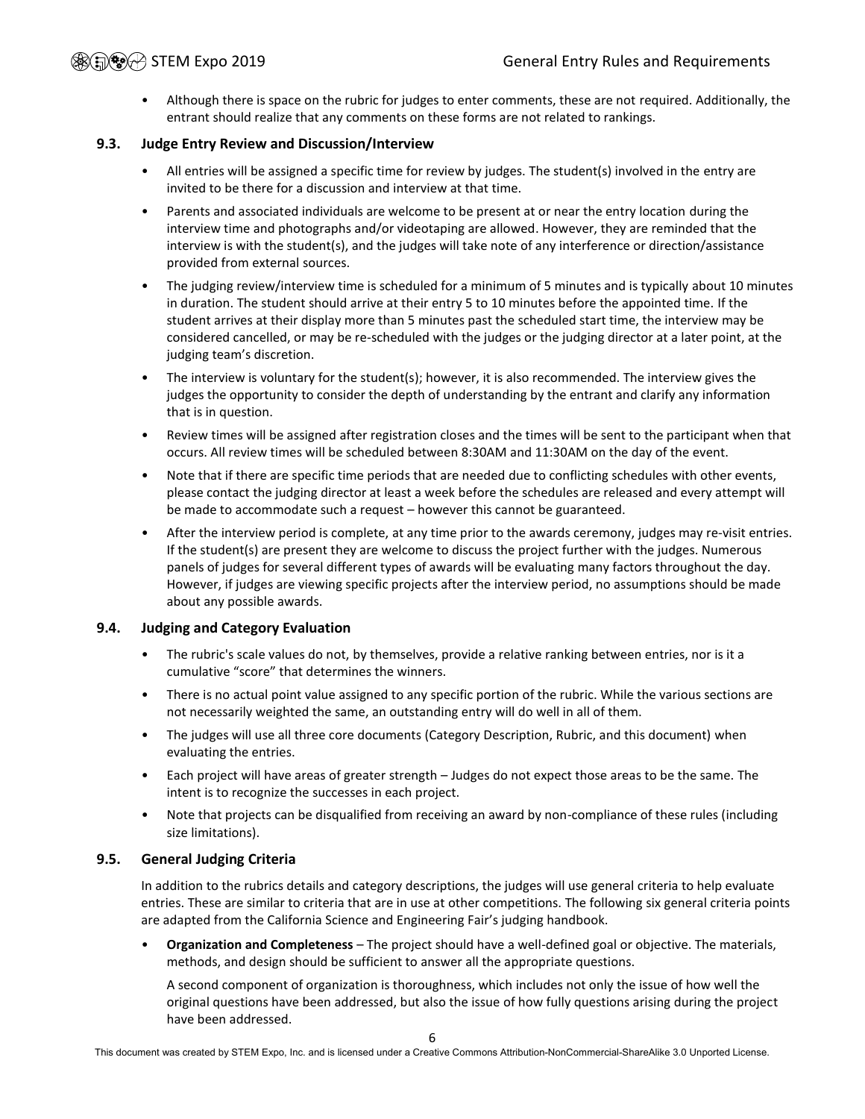• Although there is space on the rubric for judges to enter comments, these are not required. Additionally, the entrant should realize that any comments on these forms are not related to rankings.

#### **9.3. Judge Entry Review and Discussion/Interview**

- All entries will be assigned a specific time for review by judges. The student(s) involved in the entry are invited to be there for a discussion and interview at that time.
- Parents and associated individuals are welcome to be present at or near the entry location during the interview time and photographs and/or videotaping are allowed. However, they are reminded that the interview is with the student(s), and the judges will take note of any interference or direction/assistance provided from external sources.
- The judging review/interview time is scheduled for a minimum of 5 minutes and is typically about 10 minutes in duration. The student should arrive at their entry 5 to 10 minutes before the appointed time. If the student arrives at their display more than 5 minutes past the scheduled start time, the interview may be considered cancelled, or may be re-scheduled with the judges or the judging director at a later point, at the judging team's discretion.
- The interview is voluntary for the student(s); however, it is also recommended. The interview gives the judges the opportunity to consider the depth of understanding by the entrant and clarify any information that is in question.
- Review times will be assigned after registration closes and the times will be sent to the participant when that occurs. All review times will be scheduled between 8:30AM and 11:30AM on the day of the event.
- Note that if there are specific time periods that are needed due to conflicting schedules with other events, please contact the judging director at least a week before the schedules are released and every attempt will be made to accommodate such a request – however this cannot be guaranteed.
- After the interview period is complete, at any time prior to the awards ceremony, judges may re-visit entries. If the student(s) are present they are welcome to discuss the project further with the judges. Numerous panels of judges for several different types of awards will be evaluating many factors throughout the day. However, if judges are viewing specific projects after the interview period, no assumptions should be made about any possible awards.

#### **9.4. Judging and Category Evaluation**

- The rubric's scale values do not, by themselves, provide a relative ranking between entries, nor is it a cumulative "score" that determines the winners.
- There is no actual point value assigned to any specific portion of the rubric. While the various sections are not necessarily weighted the same, an outstanding entry will do well in all of them.
- The judges will use all three core documents (Category Description, Rubric, and this document) when evaluating the entries.
- Each project will have areas of greater strength Judges do not expect those areas to be the same. The intent is to recognize the successes in each project.
- Note that projects can be disqualified from receiving an award by non-compliance of these rules (including size limitations).

#### **9.5. General Judging Criteria**

In addition to the rubrics details and category descriptions, the judges will use general criteria to help evaluate entries. These are similar to criteria that are in use at other competitions. The following six general criteria points are adapted from the California Science and Engineering Fair's judging handbook.

• **Organization and Completeness** – The project should have a well-defined goal or objective. The materials, methods, and design should be sufficient to answer all the appropriate questions.

A second component of organization is thoroughness, which includes not only the issue of how well the original questions have been addressed, but also the issue of how fully questions arising during the project have been addressed.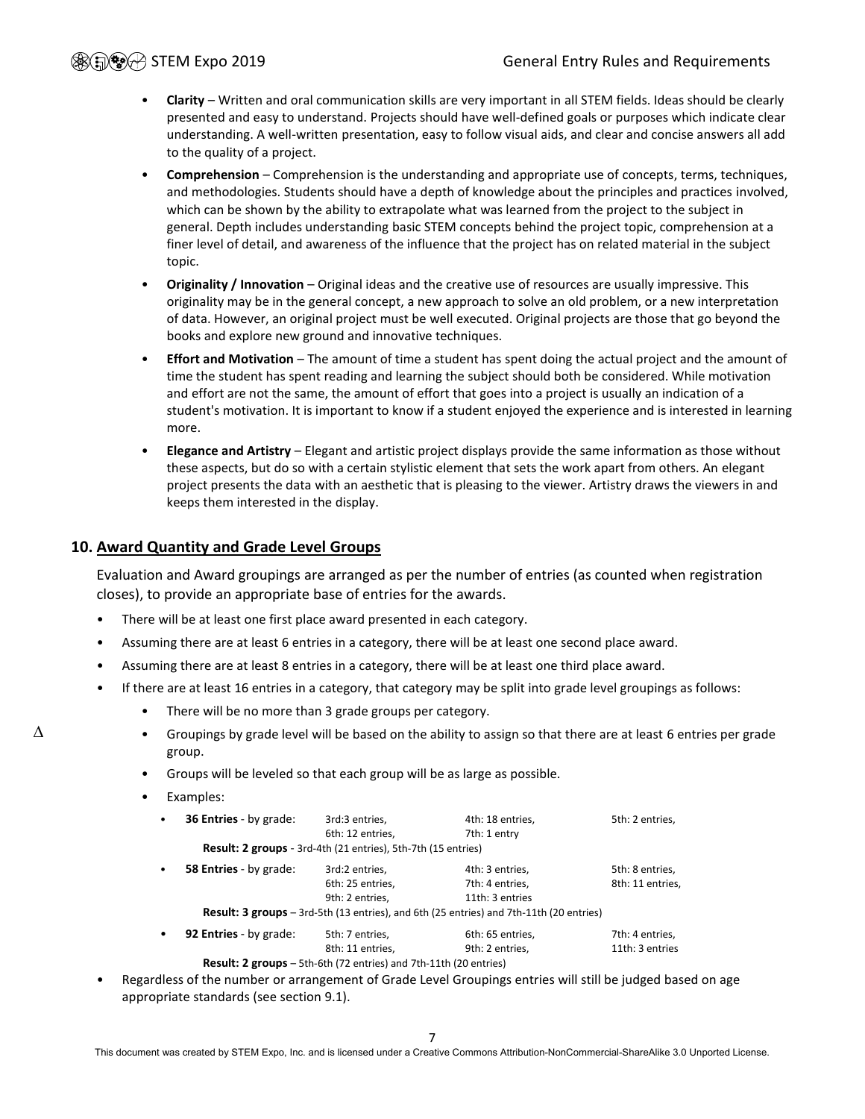- **Clarity** Written and oral communication skills are very important in all STEM fields. Ideas should be clearly presented and easy to understand. Projects should have well-defined goals or purposes which indicate clear understanding. A well-written presentation, easy to follow visual aids, and clear and concise answers all add to the quality of a project.
- **Comprehension** Comprehension is the understanding and appropriate use of concepts, terms, techniques, and methodologies. Students should have a depth of knowledge about the principles and practices involved, which can be shown by the ability to extrapolate what was learned from the project to the subject in general. Depth includes understanding basic STEM concepts behind the project topic, comprehension at a finer level of detail, and awareness of the influence that the project has on related material in the subject topic.
- **Originality / Innovation** Original ideas and the creative use of resources are usually impressive. This originality may be in the general concept, a new approach to solve an old problem, or a new interpretation of data. However, an original project must be well executed. Original projects are those that go beyond the books and explore new ground and innovative techniques.
- **Effort and Motivation** The amount of time a student has spent doing the actual project and the amount of time the student has spent reading and learning the subject should both be considered. While motivation and effort are not the same, the amount of effort that goes into a project is usually an indication of a student's motivation. It is important to know if a student enjoyed the experience and is interested in learning more.
- **Elegance and Artistry** Elegant and artistic project displays provide the same information as those without these aspects, but do so with a certain stylistic element that sets the work apart from others. An elegant project presents the data with an aesthetic that is pleasing to the viewer. Artistry draws the viewers in and keeps them interested in the display.

#### <span id="page-6-0"></span>**10. Award Quantity and Grade Level Groups**

Evaluation and Award groupings are arranged as per the number of entries (as counted when registration closes), to provide an appropriate base of entries for the awards.

- There will be at least one first place award presented in each category.
- Assuming there are at least 6 entries in a category, there will be at least one second place award.
- Assuming there are at least 8 entries in a category, there will be at least one third place award.
- If there are at least 16 entries in a category, that category may be split into grade level groupings as follows:
	- There will be no more than 3 grade groups per category.
	- Groupings by grade level will be based on the ability to assign so that there are at least 6 entries per grade group.
	- Groups will be leveled so that each group will be as large as possible.
	- Examples:

∆

| $\bullet$ | 36 Entries - by grade:        | 3rd:3 entries,                                                | 4th: 18 entries,                                                                               | 5th: 2 entries,  |
|-----------|-------------------------------|---------------------------------------------------------------|------------------------------------------------------------------------------------------------|------------------|
|           |                               | 6th: 12 entries,                                              | 7th: 1 entry                                                                                   |                  |
|           |                               | Result: 2 groups - 3rd-4th (21 entries), 5th-7th (15 entries) |                                                                                                |                  |
| $\bullet$ | <b>58 Entries</b> - by grade: | 3rd:2 entries,                                                | 4th: 3 entries.                                                                                | 5th: 8 entries,  |
|           |                               | 6th: 25 entries,                                              | 7th: 4 entries.                                                                                | 8th: 11 entries, |
|           |                               | 9th: 2 entries.                                               | 11th: 3 entries                                                                                |                  |
|           |                               |                                                               | <b>Result: 3 groups</b> – 3rd-5th (13 entries), and 6th (25 entries) and 7th-11th (20 entries) |                  |
| $\bullet$ | 92 Entries - by grade:        | 5th: 7 entries,                                               | 6th: 65 entries,                                                                               | 7th: 4 entries,  |
|           |                               | 8th: 11 entries.                                              | 9th: 2 entries.                                                                                | 11th: 3 entries  |
|           |                               |                                                               |                                                                                                |                  |

 **Result: 2 groups** – 5th-6th (72 entries) and 7th-11th (20 entries)

• Regardless of the number or arrangement of Grade Level Groupings entries will still be judged based on age appropriate standards (see section [9.1\)](#page-4-3).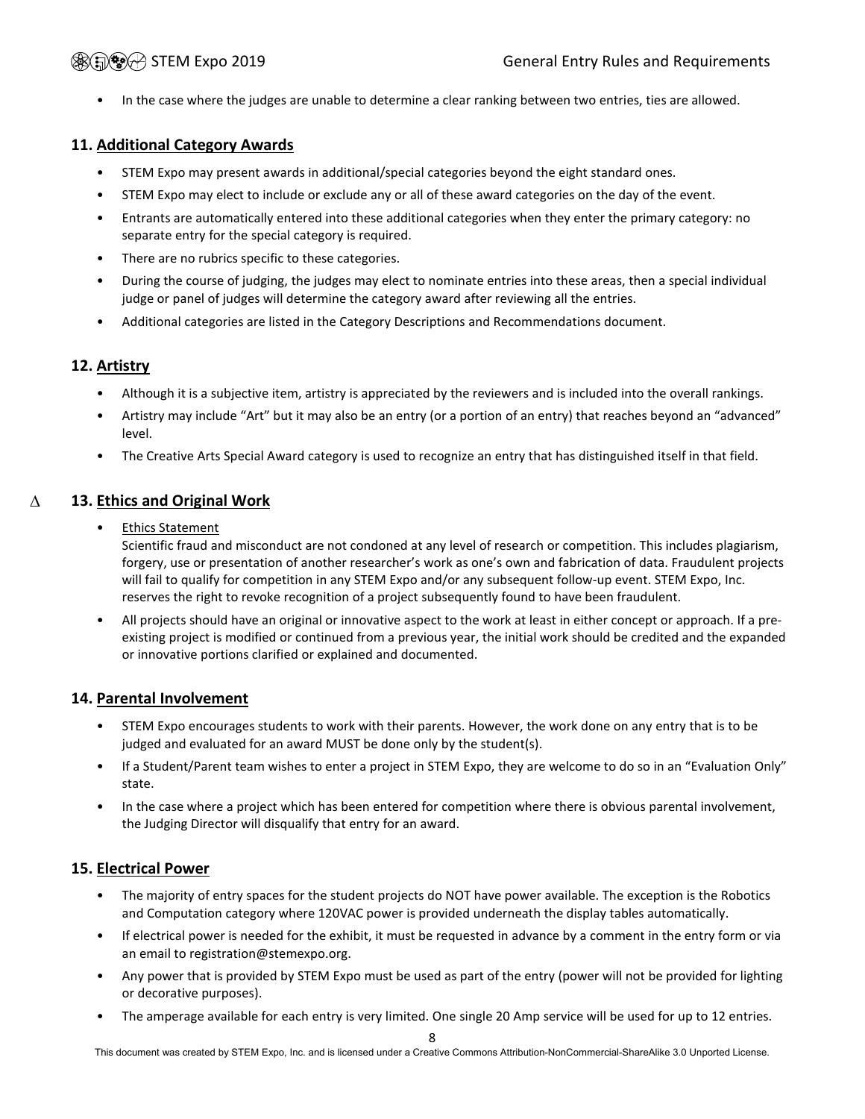• In the case where the judges are unable to determine a clear ranking between two entries, ties are allowed.

### <span id="page-7-0"></span>**11. Additional Category Awards**

- STEM Expo may present awards in additional/special categories beyond the eight standard ones.
- STEM Expo may elect to include or exclude any or all of these award categories on the day of the event.
- Entrants are automatically entered into these additional categories when they enter the primary category: no separate entry for the special category is required.
- There are no rubrics specific to these categories.
- During the course of judging, the judges may elect to nominate entries into these areas, then a special individual judge or panel of judges will determine the category award after reviewing all the entries.
- Additional categories are listed in the Category Descriptions and Recommendations document.

### <span id="page-7-1"></span>**12. Artistry**

- Although it is a subjective item, artistry is appreciated by the reviewers and is included into the overall rankings.
- Artistry may include "Art" but it may also be an entry (or a portion of an entry) that reaches beyond an "advanced" level.
- <span id="page-7-2"></span>• The Creative Arts Special Award category is used to recognize an entry that has distinguished itself in that field.

#### **13. Ethics and Original Work** ∆

• Ethics Statement

Scientific fraud and misconduct are not condoned at any level of research or competition. This includes plagiarism, forgery, use or presentation of another researcher's work as one's own and fabrication of data. Fraudulent projects will fail to qualify for competition in any STEM Expo and/or any subsequent follow-up event. STEM Expo, Inc. reserves the right to revoke recognition of a project subsequently found to have been fraudulent.

• All projects should have an original or innovative aspect to the work at least in either concept or approach. If a preexisting project is modified or continued from a previous year, the initial work should be credited and the expanded or innovative portions clarified or explained and documented.

### <span id="page-7-3"></span>**14. Parental Involvement**

- STEM Expo encourages students to work with their parents. However, the work done on any entry that is to be judged and evaluated for an award MUST be done only by the student(s).
- If a Student/Parent team wishes to enter a project in STEM Expo, they are welcome to do so in an "Evaluation Only" state.
- In the case where a project which has been entered for competition where there is obvious parental involvement, the Judging Director will disqualify that entry for an award.

### <span id="page-7-4"></span>**15. Electrical Power**

- The majority of entry spaces for the student projects do NOT have power available. The exception is the Robotics and Computation category where 120VAC power is provided underneath the display tables automatically.
- If electrical power is needed for the exhibit, it must be requested in advance by a comment in the entry form or via an email to registration@stemexpo.org.
- Any power that is provided by STEM Expo must be used as part of the entry (power will not be provided for lighting or decorative purposes).
- The amperage available for each entry is very limited. One single 20 Amp service will be used for up to 12 entries.